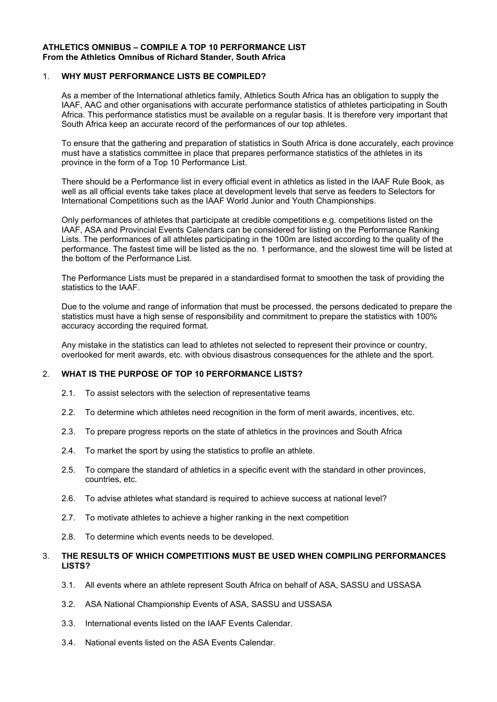#### **ATHLETICS OMNIBUS – COMPILE A TOP 10 PERFORMANCE LIST From the Athletics Omnibus of Richard Stander, South Africa**

## 1. **WHY MUST PERFORMANCE LISTS BE COMPILED?**

As a member of the International athletics family, Athletics South Africa has an obligation to supply the IAAF, AAC and other organisations with accurate performance statistics of athletes participating in South Africa. This performance statistics must be available on a regular basis. It is therefore very important that South Africa keep an accurate record of the performances of our top athletes.

To ensure that the gathering and preparation of statistics in South Africa is done accurately, each province must have a statistics committee in place that prepares performance statistics of the athletes in its province in the form of a Top 10 Performance List.

There should be a Performance list in every official event in athletics as listed in the IAAF Rule Book, as well as all official events take takes place at development levels that serve as feeders to Selectors for International Competitions such as the IAAF World Junior and Youth Championships.

Only performances of athletes that participate at credible competitions e.g. competitions listed on the IAAF, ASA and Provincial Events Calendars can be considered for listing on the Performance Ranking Lists. The performances of all athletes participating in the 100m are listed according to the quality of the performance. The fastest time will be listed as the no. 1 performance, and the slowest time will be listed at the bottom of the Performance List.

The Performance Lists must be prepared in a standardised format to smoothen the task of providing the statistics to the IAAF.

Due to the volume and range of information that must be processed, the persons dedicated to prepare the statistics must have a high sense of responsibility and commitment to prepare the statistics with 100% accuracy according the required format.

Any mistake in the statistics can lead to athletes not selected to represent their province or country, overlooked for merit awards, etc. with obvious disastrous consequences for the athlete and the sport.

## 2. **WHAT IS THE PURPOSE OF TOP 10 PERFORMANCE LISTS?**

- 2.1. To assist selectors with the selection of representative teams
- 2.2. To determine which athletes need recognition in the form of merit awards, incentives, etc.
- 2.3. To prepare progress reports on the state of athletics in the provinces and South Africa
- 2.4. To market the sport by using the statistics to profile an athlete.
- 2.5. To compare the standard of athletics in a specific event with the standard in other provinces, countries, etc.
- 2.6. To advise athletes what standard is required to achieve success at national level?
- 2.7. To motivate athletes to achieve a higher ranking in the next competition
- 2.8. To determine which events needs to be developed.

## 3. **THE RESULTS OF WHICH COMPETITIONS MUST BE USED WHEN COMPILING PERFORMANCES LISTS?**

- 3.1. All events where an athlete represent South Africa on behalf of ASA, SASSU and USSASA
- 3.2. ASA National Championship Events of ASA, SASSU and USSASA
- 3.3. International events listed on the IAAF Events Calendar.
- 3.4. National events listed on the ASA Events Calendar.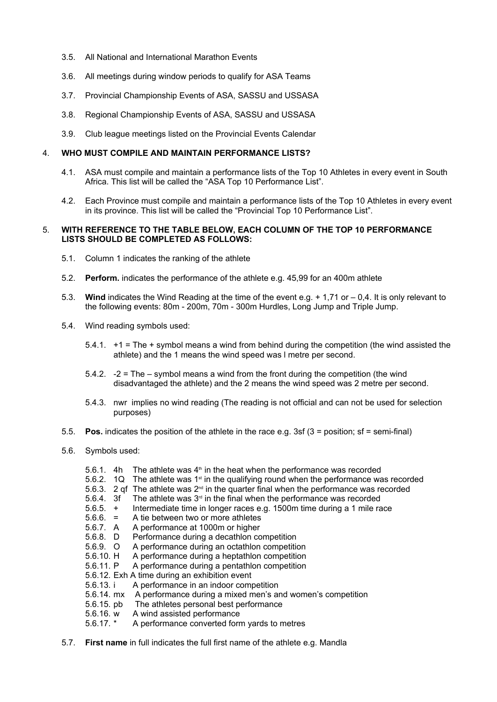- 3.5. All National and International Marathon Events
- 3.6. All meetings during window periods to qualify for ASA Teams
- 3.7. Provincial Championship Events of ASA, SASSU and USSASA
- 3.8. Regional Championship Events of ASA, SASSU and USSASA
- 3.9. Club league meetings listed on the Provincial Events Calendar

#### 4. **WHO MUST COMPILE AND MAINTAIN PERFORMANCE LISTS?**

- 4.1. ASA must compile and maintain a performance lists of the Top 10 Athletes in every event in South Africa. This list will be called the "ASA Top 10 Performance List".
- 4.2. Each Province must compile and maintain a performance lists of the Top 10 Athletes in every event in its province. This list will be called the "Provincial Top 10 Performance List".

#### 5. **WITH REFERENCE TO THE TABLE BELOW, EACH COLUMN OF THE TOP 10 PERFORMANCE LISTS SHOULD BE COMPLETED AS FOLLOWS:**

- 5.1. Column 1 indicates the ranking of the athlete
- 5.2. **Perform.** indicates the performance of the athlete e.g. 45,99 for an 400m athlete
- 5.3. **Wind** indicates the Wind Reading at the time of the event e.g. + 1,71 or 0,4. It is only relevant to the following events: 80m - 200m, 70m - 300m Hurdles, Long Jump and Triple Jump.
- 5.4. Wind reading symbols used:
	- 5.4.1. +1 = The + symbol means a wind from behind during the competition (the wind assisted the athlete) and the 1 means the wind speed was l metre per second.
	- 5.4.2. -2 = The symbol means a wind from the front during the competition (the wind disadvantaged the athlete) and the 2 means the wind speed was 2 metre per second.
	- 5.4.3. nwr implies no wind reading (The reading is not official and can not be used for selection purposes)
- 5.5. **Pos.** indicates the position of the athlete in the race e.g. 3sf (3 = position; sf = semi-final)
- 5.6. Symbols used:
	- 5.6.1. 4h The athlete was  $4<sup>th</sup>$  in the heat when the performance was recorded
	- 5.6.2. 1Q The athlete was 1<sup>st</sup> in the qualifying round when the performance was recorded
	- 5.6.3. 2 qf. The athlete was  $2^{nd}$  in the quarter final when the performance was recorded
	- 5.6.4. 3f The athlete was  $3<sup>rd</sup>$  in the final when the performance was recorded
	- 5.6.5. + Intermediate time in longer races e.g. 1500m time during a 1 mile race
	- 5.6.6. = A tie between two or more athletes
	- 5.6.7. A A performance at 1000m or higher<br>5.6.8. D Performance during a decathlon co
	-
	- 5.6.8. D Performance during a decathlon competition<br>5.6.9. O A performance during an octathlon competition 5.6.9. O A performance during an octathlon competition
	- 5.6.10. H A performance during a heptathlon competition
	- 5.6.11. P A performance during a pentathlon competition
	- 5.6.12. Exh A time during an exhibition event
	- 5.6.13. i A performance in an indoor competition
	- 5.6.14. mx A performance during a mixed men's and women's competition
	- 5.6.15. pb The athletes personal best performance
	- 5.6.16. w A wind assisted performance
	- 5.6.17. \* A performance converted form yards to metres
- 5.7. **First name** in full indicates the full first name of the athlete e.g. Mandla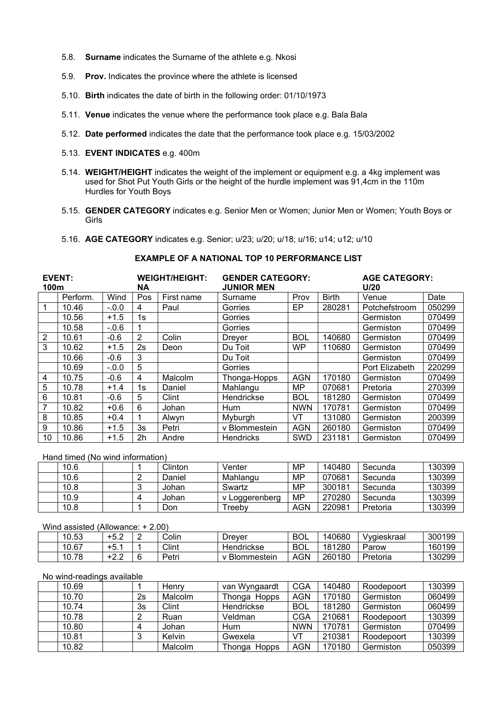- 5.8. **Surname** indicates the Surname of the athlete e.g. Nkosi
- 5.9. **Prov.** Indicates the province where the athlete is licensed
- 5.10. **Birth** indicates the date of birth in the following order: 01/10/1973
- 5.11. **Venue** indicates the venue where the performance took place e.g. Bala Bala
- 5.12. **Date performed** indicates the date that the performance took place e.g. 15/03/2002
- 5.13. **EVENT INDICATES** e.g. 400m
- 5.14. **WEIGHT/HEIGHT** indicates the weight of the implement or equipment e.g. a 4kg implement was used for Shot Put Youth Girls or the height of the hurdle implement was 91,4cm in the 110m Hurdles for Youth Boys
- 5.15. **GENDER CATEGORY** indicates e.g. Senior Men or Women; Junior Men or Women; Youth Boys or Girls
- 5.16. **AGE CATEGORY** indicates e.g. Senior; u/23; u/20; u/18; u/16; u14; u12; u/10

| <b>EVENT:</b><br>100m |          |         | <b>WEIGHT/HEIGHT:</b><br>ΝA |            | <b>GENDER CATEGORY:</b><br><b>JUNIOR MEN</b> |            |              | <b>AGE CATEGORY:</b><br>U/20 |        |  |
|-----------------------|----------|---------|-----------------------------|------------|----------------------------------------------|------------|--------------|------------------------------|--------|--|
|                       | Perform. | Wind    | Pos                         | First name | Surname                                      | Prov       | <b>Birth</b> | Venue                        | Date   |  |
|                       | 10.46    | $-.0.0$ | 4                           | Paul       | Gorries                                      | EP.        | 280281       | Potchefstroom                | 050299 |  |
|                       | 10.56    | $+1.5$  | 1s                          |            | Gorries                                      |            |              | Germiston                    | 070499 |  |
|                       | 10.58    | $-0.6$  |                             |            | Gorries                                      |            |              | Germiston                    | 070499 |  |
| $\overline{2}$        | 10.61    | $-0.6$  | $\overline{2}$              | Colin      | <b>Dreyer</b>                                | <b>BOL</b> | 140680       | Germiston                    | 070499 |  |
| 3                     | 10.62    | $+1.5$  | 2s                          | Deon       | Du Toit                                      | WP         | 110680       | Germiston                    | 070499 |  |
|                       | 10.66    | $-0.6$  | 3                           |            | Du Toit                                      |            |              | Germiston                    | 070499 |  |
|                       | 10.69    | $-.0.0$ | 5                           |            | Gorries                                      |            |              | Port Elizabeth               | 220299 |  |
| 4                     | 10.75    | $-0.6$  | 4                           | Malcolm    | Thonga-Hopps                                 | <b>AGN</b> | 170180       | Germiston                    | 070499 |  |
| 5                     | 10.78    | $+1.4$  | 1s                          | Daniel     | Mahlangu                                     | MP         | 070681       | Pretoria                     | 270399 |  |
| 6                     | 10.81    | $-0.6$  | 5                           | Clint      | Hendrickse                                   | <b>BOL</b> | 181280       | Germiston                    | 070499 |  |
| 7                     | 10.82    | $+0.6$  | 6                           | Johan      | Hurn                                         | <b>NWN</b> | 170781       | Germiston                    | 070499 |  |
| 8                     | 10.85    | $+0.4$  |                             | Alwyn      | Myburgh                                      | VT         | 131080       | Germiston                    | 200399 |  |
| 9                     | 10.86    | $+1.5$  | 3s                          | Petri      | v Blommestein                                | <b>AGN</b> | 260180       | Germiston                    | 070499 |  |
| 10                    | 10.86    | $+1.5$  | 2h                          | Andre      | <b>Hendricks</b>                             | <b>SWD</b> | 231181       | Germiston                    | 070499 |  |

# **EXAMPLE OF A NATIONAL TOP 10 PERFORMANCE LIST**

Hand timed (No wind information)

| 10.6 |  | Clinton | Venter         | MP         | 140480 | Secunda  | 130399 |
|------|--|---------|----------------|------------|--------|----------|--------|
| 10.6 |  | Daniel  | Mahlangu       | <b>MP</b>  | 070681 | Secunda  | 130399 |
| 10.8 |  | Johan   | Swartz         | MP         | 300181 | Secunda  | 130399 |
| 10.9 |  | Johan   | / Loggerenberg | MP         | 270280 | Secunda  | 130399 |
| 10.8 |  | Don     | ⊺reebv         | <b>AGN</b> | 220981 | Pretoria | 130399 |

#### Wind assisted (Allowance: + 2.00)

| 40E<br>U.ວວ  | ᆠ<br>.J.Z |   | Colir | Drever                       | <b>BOL</b> | 40680، | /vɑieskraal | 300199 |
|--------------|-----------|---|-------|------------------------------|------------|--------|-------------|--------|
| 10.07<br>U.O | ᆠ<br>.    |   | Clint | Hendrickse                   | <b>BOL</b> | 181280 | Parow       | 160199 |
| 10.78        | . .       | - | Petri | $\sim$<br><b>Blommestein</b> | <b>AGN</b> | 260180 | Pretoria    | 130299 |

#### No wind-readings available

| 10.69 |    | Henry   | van Wyngaardt   | CGA        | 140480 | Roodepoort | 130399 |
|-------|----|---------|-----------------|------------|--------|------------|--------|
| 10.70 | 2s | Malcolm | Thonga Hopps    | <b>AGN</b> | 170180 | Germiston  | 060499 |
| 10.74 | 3s | Clint   | Hendrickse      | <b>BOL</b> | 181280 | Germiston  | 060499 |
| 10.78 |    | Ruan    | Veldman         | <b>CGA</b> | 210681 | Roodepoort | 130399 |
| 10.80 |    | Johan   | <b>Hurn</b>     | <b>NWN</b> | 170781 | Germiston  | 070499 |
| 10.81 |    | Kelvin  | Gwexela         | VT         | 210381 | Roodepoort | 130399 |
| 10.82 |    | Malcolm | Thonga<br>Hopps | <b>AGN</b> | 170180 | Germiston  | 050399 |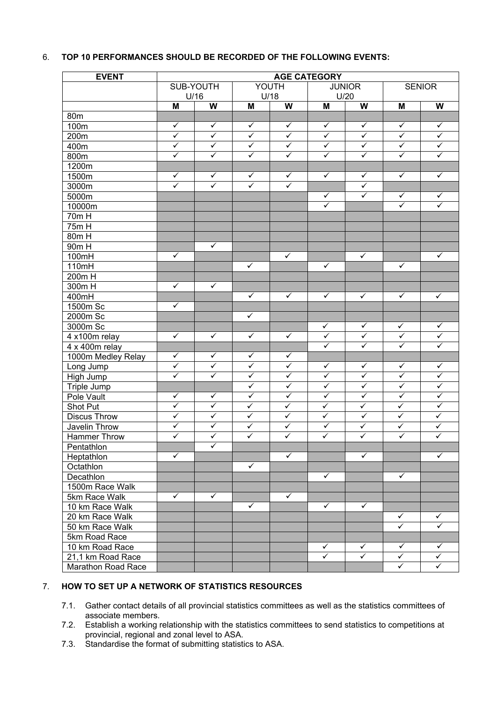## 6. **TOP 10 PERFORMANCES SHOULD BE RECORDED OF THE FOLLOWING EVENTS:**

| <b>EVENT</b>             | <b>AGE CATEGORY</b>     |                         |                         |                         |                         |                         |                         |                                         |
|--------------------------|-------------------------|-------------------------|-------------------------|-------------------------|-------------------------|-------------------------|-------------------------|-----------------------------------------|
|                          | SUB-YOUTH               |                         |                         | YOUTH                   |                         | <b>JUNIOR</b>           |                         | <b>SENIOR</b>                           |
|                          | U/16<br>M               | W                       | M                       | U/18<br>W               | M                       | U/20<br>W               | M                       | $\boldsymbol{\mathsf{W}}$               |
| 80m                      |                         |                         |                         |                         |                         |                         |                         |                                         |
| 100m                     | $\checkmark$            | $\checkmark$            | $\checkmark$            | $\checkmark$            | $\checkmark$            | $\checkmark$            | $\checkmark$            | $\checkmark$                            |
| 200m                     | $\overline{\checkmark}$ | $\overline{\checkmark}$ | $\overline{\checkmark}$ | $\overline{\checkmark}$ | $\overline{\checkmark}$ | $\overline{\checkmark}$ | $\checkmark$            | $\overline{\checkmark}$                 |
| 400m                     | $\overline{\checkmark}$ | $\overline{\checkmark}$ | $\checkmark$            | $\checkmark$            | $\overline{\checkmark}$ | $\checkmark$            | $\checkmark$            | $\overline{\checkmark}$                 |
| 800m                     | $\overline{\checkmark}$ | $\overline{\checkmark}$ | $\overline{\checkmark}$ | $\overline{\checkmark}$ | $\overline{\checkmark}$ | $\overline{\checkmark}$ | $\overline{\checkmark}$ | $\overline{\checkmark}$                 |
| 1200m                    |                         |                         |                         |                         |                         |                         |                         |                                         |
| 1500m                    | $\checkmark$            | $\checkmark$            | $\checkmark$            | $\checkmark$            | $\checkmark$            | $\checkmark$            | $\checkmark$            | $\checkmark$                            |
| 3000m                    | $\overline{\checkmark}$ | $\overline{\checkmark}$ | $\overline{\checkmark}$ | $\overline{\checkmark}$ |                         | $\checkmark$            |                         |                                         |
| 5000m                    |                         |                         |                         |                         | $\checkmark$            | $\checkmark$            | $\checkmark$            | $\checkmark$                            |
| 10000m                   |                         |                         |                         |                         | $\overline{\checkmark}$ |                         | $\overline{\checkmark}$ | $\overline{\checkmark}$                 |
| 70m H                    |                         |                         |                         |                         |                         |                         |                         |                                         |
| $75m$ H                  |                         |                         |                         |                         |                         |                         |                         |                                         |
| 80m H                    |                         |                         |                         |                         |                         |                         |                         |                                         |
| 90m H                    |                         | $\checkmark$            |                         |                         |                         |                         |                         |                                         |
| 100mH                    | $\checkmark$            |                         |                         | $\checkmark$            |                         | $\checkmark$            |                         | $\checkmark$                            |
| 110mH                    |                         |                         | $\checkmark$            |                         | $\checkmark$            |                         | $\checkmark$            |                                         |
| 200m H                   |                         |                         |                         |                         |                         |                         |                         |                                         |
| $300m$ H                 | $\checkmark$            | $\checkmark$            |                         |                         |                         |                         |                         |                                         |
| 400mH                    |                         |                         | $\checkmark$            | $\checkmark$            | $\checkmark$            | $\checkmark$            | $\checkmark$            | $\checkmark$                            |
| 1500m Sc                 | $\checkmark$            |                         |                         |                         |                         |                         |                         |                                         |
| 2000m Sc                 |                         |                         | $\checkmark$            |                         |                         |                         |                         |                                         |
| 3000m Sc                 |                         |                         |                         |                         | $\checkmark$            | $\checkmark$            | $\checkmark$            | $\checkmark$                            |
| 4 x100m relay            | $\checkmark$            | $\checkmark$            | $\checkmark$            | $\checkmark$            | $\overline{\checkmark}$ | $\checkmark$            | $\checkmark$            | $\overline{\checkmark}$                 |
| 4 x 400m relay           |                         |                         |                         |                         | $\overline{\checkmark}$ | $\overline{\checkmark}$ | $\overline{\checkmark}$ | $\overline{\checkmark}$                 |
| 1000m Medley Relay       | $\checkmark$            | $\checkmark$            | $\checkmark$            | $\checkmark$            |                         |                         |                         |                                         |
| Long Jump                | $\overline{\checkmark}$ | $\overline{\checkmark}$ | $\checkmark$            | $\checkmark$            | $\checkmark$            | $\checkmark$            | $\checkmark$            | $\checkmark$                            |
| High Jump                | $\overline{\checkmark}$ | $\overline{\checkmark}$ | $\checkmark$            | $\checkmark$            | $\overline{\checkmark}$ | $\checkmark$            | $\checkmark$            | $\overline{\checkmark}$                 |
| <b>Triple Jump</b>       |                         |                         | $\checkmark$            | $\checkmark$            | $\overline{\checkmark}$ | $\checkmark$            | $\checkmark$            | $\overline{\checkmark}$                 |
| Pole Vault               | $\checkmark$            | $\checkmark$            | $\checkmark$            | $\checkmark$            | $\overline{\checkmark}$ | $\checkmark$            | $\checkmark$            | $\overline{\checkmark}$                 |
| Shot Put                 | $\overline{\checkmark}$ | $\overline{\checkmark}$ | $\checkmark$            | $\checkmark$            | $\overline{\checkmark}$ | $\overline{\checkmark}$ | $\checkmark$            | $\overline{\checkmark}$                 |
| <b>Discus Throw</b>      | $\checkmark$            | $\checkmark$            | $\checkmark$            | $\checkmark$            | $\overline{\checkmark}$ | $\checkmark$            | $\checkmark$            | $\checkmark$                            |
| Javelin Throw            | $\overline{\checkmark}$ | $\overline{\checkmark}$ | $\checkmark$            | $\checkmark$            | $\overline{\checkmark}$ | $\overline{\checkmark}$ | $\checkmark$            | $\sqrt{}$                               |
|                          | $\overline{\checkmark}$ | $\overline{\checkmark}$ | $\checkmark$            | $\overline{\checkmark}$ | $\checkmark$            | $\overline{\checkmark}$ | $\overline{\checkmark}$ | $\overline{\checkmark}$                 |
| Hammer Throw             |                         | ✓                       |                         |                         |                         |                         |                         |                                         |
| Pentathlon<br>Heptathlon | $\checkmark$            |                         |                         | $\checkmark$            |                         | $\checkmark$            |                         | $\checkmark$                            |
|                          |                         |                         | $\checkmark$            |                         |                         |                         |                         |                                         |
| Octathlon                |                         |                         |                         |                         | $\checkmark$            |                         | $\checkmark$            |                                         |
| Decathlon                |                         |                         |                         |                         |                         |                         |                         |                                         |
| 1500m Race Walk          |                         | $\checkmark$            |                         | $\checkmark$            |                         |                         |                         |                                         |
| 5km Race Walk            | $\checkmark$            |                         |                         |                         | $\checkmark$            | $\checkmark$            |                         |                                         |
| 10 km Race Walk          |                         |                         | $\checkmark$            |                         |                         |                         |                         |                                         |
| 20 km Race Walk          |                         |                         |                         |                         |                         |                         | $\checkmark$            | $\checkmark$<br>$\overline{\checkmark}$ |
| 50 km Race Walk          |                         |                         |                         |                         |                         |                         | $\overline{\checkmark}$ |                                         |
| 5km Road Race            |                         |                         |                         |                         |                         |                         |                         |                                         |
| 10 km Road Race          |                         |                         |                         |                         | $\checkmark$            | $\checkmark$            | $\checkmark$            | $\checkmark$                            |
| 21,1 km Road Race        |                         |                         |                         |                         | $\overline{\checkmark}$ | $\overline{\checkmark}$ | $\checkmark$            | $\checkmark$                            |
| Marathon Road Race       |                         |                         |                         |                         |                         |                         | $\checkmark$            | $\checkmark$                            |

## 7. **HOW TO SET UP A NETWORK OF STATISTICS RESOURCES**

- 7.1. Gather contact details of all provincial statistics committees as well as the statistics committees of associate members.
- 7.2. Establish a working relationship with the statistics committees to send statistics to competitions at provincial, regional and zonal level to ASA.
- 7.3. Standardise the format of submitting statistics to ASA.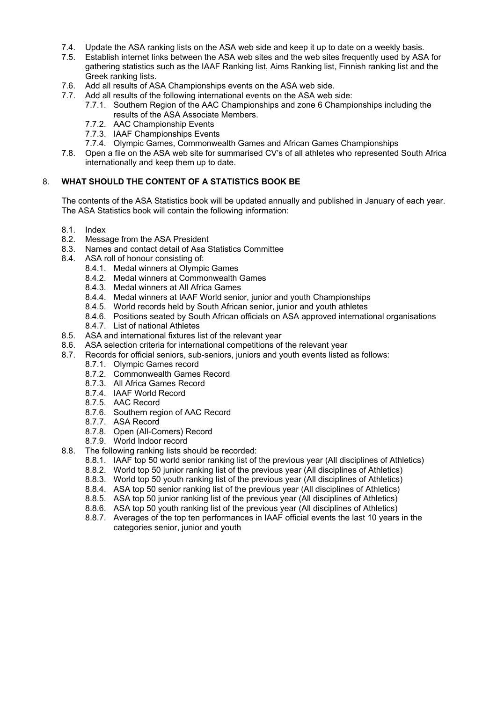- 7.4. Update the ASA ranking lists on the ASA web side and keep it up to date on a weekly basis.
- 7.5. Establish internet links between the ASA web sites and the web sites frequently used by ASA for gathering statistics such as the IAAF Ranking list, Aims Ranking list, Finnish ranking list and the Greek ranking lists.
- 7.6. Add all results of ASA Championships events on the ASA web side.
- 7.7. Add all results of the following international events on the ASA web side:
	- 7.7.1. Southern Region of the AAC Championships and zone 6 Championships including the results of the ASA Associate Members.
	- 7.7.2. AAC Championship Events
	- 7.7.3. IAAF Championships Events
	- 7.7.4. Olympic Games, Commonwealth Games and African Games Championships
- 7.8. Open a file on the ASA web site for summarised CV's of all athletes who represented South Africa internationally and keep them up to date.

## 8. **WHAT SHOULD THE CONTENT OF A STATISTICS BOOK BE**

The contents of the ASA Statistics book will be updated annually and published in January of each year. The ASA Statistics book will contain the following information:

- 8.1. Index
- 8.2. Message from the ASA President
- 8.3. Names and contact detail of Asa Statistics Committee
- 8.4. ASA roll of honour consisting of:
	- 8.4.1. Medal winners at Olympic Games
	- 8.4.2. Medal winners at Commonwealth Games
	- 8.4.3. Medal winners at All Africa Games
	- 8.4.4. Medal winners at IAAF World senior, junior and youth Championships
	- 8.4.5. World records held by South African senior, junior and youth athletes
	- 8.4.6. Positions seated by South African officials on ASA approved international organisations
	- 8.4.7. List of national Athletes
- 8.5. ASA and international fixtures list of the relevant year
- 8.6. ASA selection criteria for international competitions of the relevant year
- 8.7. Records for official seniors, sub-seniors, juniors and youth events listed as follows:
	- 8.7.1. Olympic Games record
	- 8.7.2. Commonwealth Games Record
	- 8.7.3. All Africa Games Record
	- 8.7.4. IAAF World Record
	- 8.7.5. AAC Record
	- 8.7.6. Southern region of AAC Record
	- 8.7.7. ASA Record
	- 8.7.8. Open (All-Comers) Record
	- 8.7.9. World Indoor record
- 8.8. The following ranking lists should be recorded:
	- 8.8.1. IAAF top 50 world senior ranking list of the previous year (All disciplines of Athletics)
	- 8.8.2. World top 50 junior ranking list of the previous year (All disciplines of Athletics)
	- 8.8.3. World top 50 youth ranking list of the previous year (All disciplines of Athletics)
	- 8.8.4. ASA top 50 senior ranking list of the previous year (All disciplines of Athletics)
	- 8.8.5. ASA top 50 junior ranking list of the previous year (All disciplines of Athletics)
	- 8.8.6. ASA top 50 youth ranking list of the previous year (All disciplines of Athletics)
	- 8.8.7. Averages of the top ten performances in IAAF official events the last 10 years in the categories senior, junior and youth